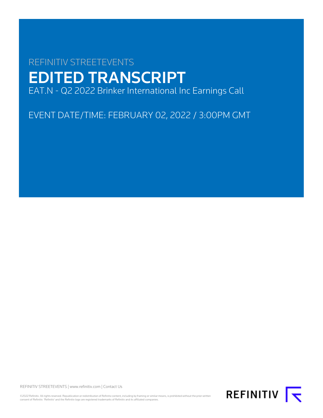# REFINITIV STREETEVENTS EDITED TRANSCRIPT EAT.N - Q2 2022 Brinker International Inc Earnings Call

EVENT DATE/TIME: FEBRUARY 02, 2022 / 3:00PM GMT

REFINITIV STREETEVENTS | [www.refinitiv.com](https://www.refinitiv.com/) | [Contact Us](https://www.refinitiv.com/en/contact-us)

©2022 Refinitiv. All rights reserved. Republication or redistribution of Refinitiv content, including by framing or similar means, is prohibited without the prior written<br>consent of Refinitiv. 'Refinitiv' and the Refinitiv

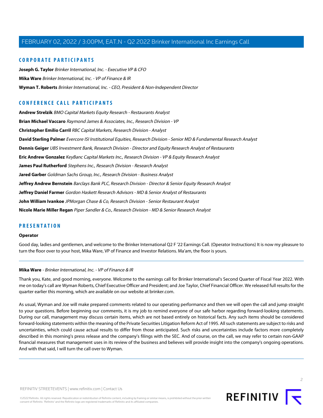# **CORPORATE PARTICIPANTS**

**[Joseph G. Taylor](#page-3-0)** Brinker International, Inc. - Executive VP & CFO **[Mika Ware](#page-1-0)** Brinker International, Inc. - VP of Finance & IR **[Wyman T. Roberts](#page-2-0)** Brinker International, Inc. - CEO, President & Non-Independent Director

# **CONFERENCE CALL PARTICIPANTS**

**[Andrew Strelzik](#page-10-0)** BMO Capital Markets Equity Research - Restaurants Analyst **[Brian Michael Vaccaro](#page-12-0)** Raymond James & Associates, Inc., Research Division - VP **[Christopher Emilio Carril](#page-15-0)** RBC Capital Markets, Research Division - Analyst **[David Sterling Palmer](#page-5-0)** Evercore ISI Institutional Equities, Research Division - Senior MD & Fundamental Research Analyst **[Dennis Geiger](#page-4-0)** UBS Investment Bank, Research Division - Director and Equity Research Analyst of Restaurants **[Eric Andrew Gonzalez](#page-18-0)** KeyBanc Capital Markets Inc., Research Division - VP & Equity Research Analyst **[James Paul Rutherford](#page-8-0)** Stephens Inc., Research Division - Research Analyst **[Jared Garber](#page-15-1)** Goldman Sachs Group, Inc., Research Division - Business Analyst **[Jeffrey Andrew Bernstein](#page-7-0)** Barclays Bank PLC, Research Division - Director & Senior Equity Research Analyst **[Jeffrey Daniel Farmer](#page-9-0)** Gordon Haskett Research Advisors - MD & Senior Analyst of Restaurants **[John William Ivankoe](#page-16-0)** JPMorgan Chase & Co, Research Division - Senior Restaurant Analyst **[Nicole Marie Miller Regan](#page-13-0)** Piper Sandler & Co., Research Division - MD & Senior Research Analyst

# **PRESENTATION**

#### **Operator**

<span id="page-1-0"></span>Good day, ladies and gentlemen, and welcome to the Brinker International Q2 F '22 Earnings Call. (Operator Instructions) It is now my pleasure to turn the floor over to your host, Mika Ware, VP of Finance and Investor Relations. Ma'am, the floor is yours.

#### **Mika Ware** - Brinker International, Inc. - VP of Finance & IR

Thank you, Kate, and good morning, everyone. Welcome to the earnings call for Brinker International's Second Quarter of Fiscal Year 2022. With me on today's call are Wyman Roberts, Chief Executive Officer and President; and Joe Taylor, Chief Financial Officer. We released full results for the quarter earlier this morning, which are available on our website at brinker.com.

As usual, Wyman and Joe will make prepared comments related to our operating performance and then we will open the call and jump straight to your questions. Before beginning our comments, it is my job to remind everyone of our safe harbor regarding forward-looking statements. During our call, management may discuss certain items, which are not based entirely on historical facts. Any such items should be considered forward-looking statements within the meaning of the Private Securities Litigation Reform Act of 1995. All such statements are subject to risks and uncertainties, which could cause actual results to differ from those anticipated. Such risks and uncertainties include factors more completely described in this morning's press release and the company's filings with the SEC. And of course, on the call, we may refer to certain non-GAAP financial measures that management uses in its review of the business and believes will provide insight into the company's ongoing operations. And with that said, I will turn the call over to Wyman.

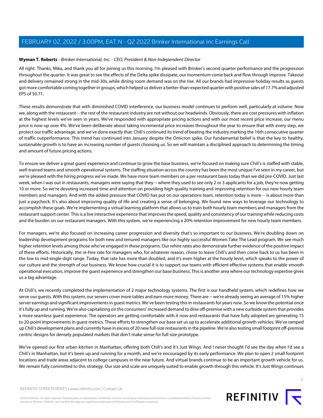# <span id="page-2-0"></span>**Wyman T. Roberts** - Brinker International, Inc. - CEO, President & Non-Independent Director

All right. Thanks, Mika, and thank you all for joining us this morning. I'm pleased with Brinker's second quarter performance and the progression throughout the quarter. It was great to see the effects of the Delta spike dissipate, our momentum come back and flow through improve. Takeout and delivery remained strong in the mid-30s, while dining room demand was on the rise. All our brands had impressive holiday results as guests got more comfortable coming together in groups, which helped us deliver a better-than-expected quarter with positive sales of 17.7% and adjusted EPS of \$0.71.

These results demonstrate that with diminished COVID interference, our business model continues to perform well, particularly at volume. Now we, along with the restaurant -- the rest of the restaurant industry are not without our headwinds. Obviously, there are cost pressures with inflation at the highest levels we've seen in years. We've responded with appropriate pricing actions and with our most recent price increase, our menu price is now up over 4%. We've been deliberate about taking incremental price increases throughout the year to ensure that with every step, we protect our traffic advantage, and we've done exactly that. Chili's continued its trend of beating the industry marking the 16th consecutive quarter of traffic outperformance. This trend has continued into January despite the Omicron spike. Our fundamental belief is that the key to healthy, sustainable growth is to have an increasing number of guests choosing us. So we will maintain a disciplined approach to determining the timing and amount of future pricing actions.

To ensure we deliver a great guest experience and continue to grow the base business, we're focused on making sure Chili's is staffed with stable, well-trained teams and smooth operational systems. The staffing situation across the country has been the most unique I've seen in my career, but we're pleased with the hiring progress we've made. We have more team members on a per restaurant basis today than we did pre-COVID. Just last week, when I was out in restaurants, managers were saying that they -- where they used to see only 2 or 3 applicants for a job, they're now getting 10 or more. So we're devoting increased time and attention on providing high-quality training and improving retention for our new hourly team members and managers. And with the added pressure that COVID has put on our operations team, retention today is more -- is about more than just a paycheck. It's also about improving quality of life and creating a sense of belonging. We found new ways to leverage our technology to accomplish these goals. We're implementing a virtual learning platform that allows us to train both hourly team members and managers from the restaurant support center. This is a live interactive experience that improves the speed, quality and consistency of our training while reducing costs and the burden on our restaurant managers. With this system, we're experiencing a 20% retention improvement for new hourly team members.

For managers, we're also focused on increasing career progression and diversity that's so important to our business. We're doubling down on leadership development programs for both new and tenured managers like our highly successful Women Take The Lead program. We see much higher retention levels among those who've engaged in these programs. Our rehire rates also demonstrate further evidence of the positive impact of these efforts. Historically, the re-hire rate for managers who, for whatever reason, chose to leave Chili's and then come back to us has been in the low to mid-single-digit range. Today, that rate has more than doubled, and it's even higher at the hourly level, which speaks to the power of our culture and the strength of our business. We know how crucial it is to support our teams with efficient effective systems that enable smooth operational execution, improve the guest experience and strengthen our base business. This is another area where our technology expertise gives us a big advantage.

At Chili's, we recently completed the implementation of 2 major technology systems. The first is our handheld system, which redefines how we serve our guests. With this system, our servers cover more tables and earn more money. There are -- we're already seeing an average of 15% higher server earnings and significant improvements in guest metrics. We've been testing this in restaurants for years now. So we know the potential once it's fully up and running. We're also capitalizing on the consumers' increased demand to dine off-premise with a new curbside system that provides a more seamless guest experience. The operators are getting comfortable with it now and restaurants that have fully adopted are generating 15 to 20-point improvements in guest metrics. These efforts to strengthen our base set us up to accelerate additional growth vehicles. We've ramped up Chili's development plans and currently have in excess of 20 new full-size restaurants in the pipeline. We're also testing small footprint off-premise centric designs for densely populated markets that don't make sense for full-size prototype.

We've opened our first urban kitchen in Manhattan, offering both Chili's and It's Just Wings. And I never thought I'd see the day when I'd see a Chili's in Manhattan, but it's been up and running for a month, and we're encouraged by its early performance. We plan to open 2 small footprint locations and trade areas adjacent to college campuses in the near future. And virtual brands continue to be an important growth vehicle for us. We remain fully committed to this strategy. Our size and scale are uniquely suited to enable growth through this vehicle. It's Just Wings continues

©2022 Refinitiv. All rights reserved. Republication or redistribution of Refinitiv content, including by framing or similar means, is prohibited without the prior written consent of Refinitiv. 'Refinitiv' and the Refinitiv logo are registered trademarks of Refinitiv and its affiliated companies.

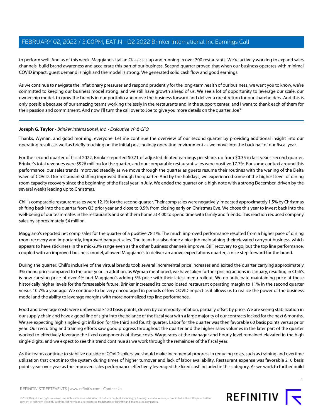to perform well. And as of this week, Maggiano's Italian Classics is up and running in over 700 restaurants. We're actively working to expand sales channels, build brand awareness and accelerate this part of our business. Second quarter proved that when our business operates with minimal COVID impact, guest demand is high and the model is strong. We generated solid cash flow and good earnings.

As we continue to navigate the inflationary pressures and respond prudently for the long-term health of our business, we want you to know, we're committed to keeping our business model strong, and we still have growth ahead of us. We see a lot of opportunity to leverage our scale, our ownership model, to grow the brands in our portfolio and move the business forward and deliver a great return for our shareholders. And this is only possible because of our amazing teams working tirelessly in the restaurants and in the support center, and I want to thank each of them for their passion and commitment. And now I'll turn the call over to Joe to give you more details on the quarter. Joe?

# <span id="page-3-0"></span>**Joseph G. Taylor** - Brinker International, Inc. - Executive VP & CFO

Thanks, Wyman, and good morning, everyone. Let me continue the overview of our second quarter by providing additional insight into our operating results as well as briefly touching on the initial post-holiday operating environment as we move into the back half of our fiscal year.

For the second quarter of fiscal 2022, Brinker reported \$0.71 of adjusted diluted earnings per share, up from \$0.35 in last year's second quarter. Brinker's total revenues were \$926 million for the quarter, and our comparable restaurant sales were positive 17.7%. For some context around this performance, our sales trends improved steadily as we move through the quarter as guests resume their routines with the waning of the Delta wave of COVID. Our restaurant staffing improved through the quarter. And by the holidays, we experienced some of the highest level of dining room capacity recovery since the beginning of the fiscal year in July. We ended the quarter on a high note with a strong December, driven by the several weeks leading up to Christmas.

Chili's comparable restaurant sales were 12.1% for the second quarter. Their comp sales were negatively impacted approximately 1.5% by Christmas shifting back into the quarter from Q3 prior year and close to 0.5% from closing early on Christmas Eve. We chose this year to invest back into the well-being of our teammates in the restaurants and sent them home at 4:00 to spend time with family and friends. This reaction reduced company sales by approximately \$4 million.

Maggiano's reported net comp sales for the quarter of a positive 78.1%. The much improved performance resulted from a higher pace of dining room recovery and importantly, improved banquet sales. The team has also done a nice job maintaining their elevated carryout business, which appears to have stickiness in the mid-20% range even as the other business channels improve. Still recovery to go, but the top line performance, coupled with an improved business model, allowed Maggiano's to deliver an above expectations quarter, a nice step forward for the brand.

During the quarter, Chili's inclusive of the virtual brands took several incremental price increases and exited the quarter carrying approximately 3% menu price compared to the prior year. In addition, as Wyman mentioned, we have taken further pricing actions in January, resulting in Chili's is now carrying price of over 4% and Maggiano's adding 5% price with their latest menu rollout. We do anticipate maintaining price at these historically higher levels for the foreseeable future. Brinker increased its consolidated restaurant operating margin to 11% in the second quarter versus 10.7% a year ago. We continue to be very encouraged in periods of low COVID impact as it allows us to realize the power of the business model and the ability to leverage margins with more normalized top line performance.

Food and beverage costs were unfavorable 120 basis points, driven by commodity inflation, partially offset by price. We are seeing stabilization in our supply chain and have a good line of sight into the balance of the fiscal year with a large majority of our contracts locked for the next 6 months. We are expecting high single-digit inflation for the third and fourth quarter. Labor for the quarter was then favorable 60 basis points versus prior year. Our recruiting and training efforts saw good progress throughout the quarter and the higher sales volumes in the later part of the quarter worked to effectively leverage the fixed components of these costs. Wage rates at the manager and hourly level remained elevated in the high single digits, and we expect to see this trend continue as we work through the remainder of the fiscal year.

As the teams continue to stabilize outside of COVID spikes, we should make incremental progress in reducing costs, such as training and overtime utilization that crept into the system during times of higher turnover and lack of labor availability. Restaurant expense was favorable 210 basis points year-over-year as the improved sales performance effectively leveraged the fixed cost included in this category. As we work to further build

REFINITIV STREETEVENTS | [www.refinitiv.com](https://www.refinitiv.com/) | [Contact Us](https://www.refinitiv.com/en/contact-us)

©2022 Refinitiv. All rights reserved. Republication or redistribution of Refinitiv content, including by framing or similar means, is prohibited without the prior written consent of Refinitiv. 'Refinitiv' and the Refinitiv logo are registered trademarks of Refinitiv and its affiliated companies.

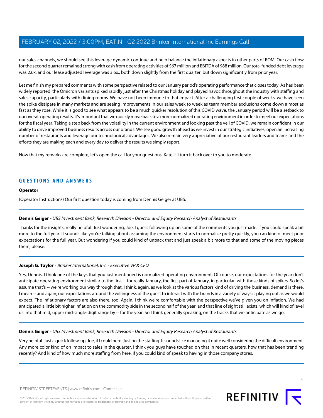our sales channels, we should see this leverage dynamic continue and help balance the inflationary aspects in other parts of ROM. Our cash flow for the second quarter remained strong with cash from operating activities of \$67 million and EBITDA of \$88 million. Our total funded debt leverage was 2.6x, and our lease adjusted leverage was 3.6x., both down slightly from the first quarter, but down significantly from prior year.

Let me finish my prepared comments with some perspective related to our January period's operating performance that closes today. As has been widely reported, the Omicron variants spiked rapidly just after the Christmas holiday and played havoc throughout the industry with staffing and sales capacity, particularly with dining rooms. We have not been immune to that impact. After a challenging first couple of weeks, we have seen the spike dissipate in many markets and are seeing improvements in our sales week to week as team member exclusions come down almost as fast as they rose. While it is good to see what appears to be a much quicker resolution of this COVID wave, the January period will be a setback to our overall operating results. It's important that we quickly move back to a more normalized operating environment in order to meet our expectations for the fiscal year. Taking a step back from the volatility in the current environment and looking past the veil of COVID, we remain confident in our ability to drive improved business results across our brands. We see good growth ahead as we invest in our strategic initiatives, open an increasing number of restaurants and leverage our technological advantages. We also remain very appreciative of our restaurant leaders and teams and the efforts they are making each and every day to deliver the results we simply report.

Now that my remarks are complete, let's open the call for your questions. Kate, I'll turn it back over to you to moderate.

# **QUESTIONS AND ANSWERS**

#### **Operator**

<span id="page-4-0"></span>(Operator Instructions) Our first question today is coming from Dennis Geiger at UBS.

# **Dennis Geiger** - UBS Investment Bank, Research Division - Director and Equity Research Analyst of Restaurants

Thanks for the insights, really helpful. Just wondering, Joe, I guess following up on some of the comments you just made. If you could speak a bit more to the full year. It sounds like you're talking about assuming the environment starts to normalize pretty quickly, you can kind of meet prior expectations for the full year. But wondering if you could kind of unpack that and just speak a bit more to that and some of the moving pieces there, please.

# **Joseph G. Taylor** - Brinker International, Inc. - Executive VP & CFO

Yes, Dennis, I think one of the keys that you just mentioned is normalized operating environment. Of course, our expectations for the year don't anticipate operating environment similar to the first -- for really January, the first part of January, in particular, with those kinds of spikes. So let's assume that's -- we're working our way through that. I think, again, as we look at the various factors kind of driving the business, demand is there. I mean -- and again, our expectations around the willingness of the guest to interact with the brands in a variety of ways is playing out as we would expect. The inflationary factors are also there, too. Again, I think we're comfortable with the perspective we've given you on inflation. We had anticipated a little bit higher inflation on the commodity side in the second half of the year, and that line of sight still exists, which will kind of level us into that mid, upper mid-single-digit range by -- for the year. So I think generally speaking, on the tracks that we anticipate as we go.

#### **Dennis Geiger** - UBS Investment Bank, Research Division - Director and Equity Research Analyst of Restaurants

Very helpful. Just a quick follow-up, Joe, if I could here. Just on the staffing. It sounds like managing it quite well considering the difficult environment. Any more color kind of on impact to sales in the quarter. I think you guys have touched on that in recent quarters, how that has been trending recently? And kind of how much more staffing from here, if you could kind of speak to having in those company stores.



5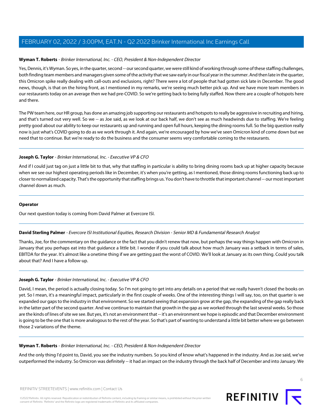# **Wyman T. Roberts** - Brinker International, Inc. - CEO, President & Non-Independent Director

Yes, Dennis, it's Wyman. So yes, in the quarter, second -- our second quarter, we were still kind of working through some of these staffing challenges, both finding team members and managers given some of the activity that we saw early in our fiscal year in the summer. And then late in the quarter, this Omicron spike really dealing with call-outs and exclusions, right? There were a lot of people that had gotten sick late in December. The good news, though, is that on the hiring front, as I mentioned in my remarks, we're seeing much better pick up. And we have more team members in our restaurants today on an average then we had pre-COVID. So we're getting back to being fully staffed. Now there are a couple of hotspots here and there.

The PW team here, our HR group, has done an amazing job supporting our restaurants and hotspots to really be aggressive in recruiting and hiring, and that's turned out very well. So we -- as Joe said, as we look at our back half, we don't see as much headwinds due to staffing. We're feeling pretty good about our ability to keep our restaurants up and running and open full hours, keeping the dining rooms full. So the big question really now is just what's COVID going to do as we work through it. And again, we're encouraged by how we've seen Omicron kind of come down but we need that to continue. But we're ready to do the business and the consumer seems very comfortable coming to the restaurants.

#### **Joseph G. Taylor** - Brinker International, Inc. - Executive VP & CFO

And if I could just tag on just a little bit to that, why that staffing in particular is ability to bring dining rooms back up at higher capacity because when we see our highest operating periods like in December, it's when you're getting, as I mentioned, those dining rooms functioning back up to closer to normalized capacity. That's the opportunity that staffing brings us. You don't have to throttle that important channel -- our most important channel down as much.

#### **Operator**

<span id="page-5-0"></span>Our next question today is coming from David Palmer at Evercore ISI.

# **David Sterling Palmer** - Evercore ISI Institutional Equities, Research Division - Senior MD & Fundamental Research Analyst

Thanks, Joe, for the commentary on the guidance or the fact that you didn't renew that now, but perhaps the way things happen with Omicron in January that you perhaps eat into that guidance a little bit. I wonder if you could talk about how much January was a setback in terms of sales, EBITDA for the year. It's almost like a onetime thing if we are getting past the worst of COVID. We'll look at January as its own thing. Could you talk about that? And I have a follow-up.

# **Joseph G. Taylor** - Brinker International, Inc. - Executive VP & CFO

David, I mean, the period is actually closing today. So I'm not going to get into any details on a period that we really haven't closed the books on yet. So I mean, it's a meaningful impact, particularly in the first couple of weeks. One of the interesting things I will say, too, on that quarter is we expanded our gaps to the industry in that environment. So we started seeing that expansion grow at the gap, the expanding of the gap really back in the latter part of the second quarter. And we continue to maintain that growth in the gap as we worked through the last several weeks. So those are the kinds of lines of site we see. But yes, it's not an environment that -- it's an environment we hope is episodic and that December environment is going to be the one that is more analogous to the rest of the year. So that's part of wanting to understand a little bit better where we go between those 2 variations of the theme.

#### **Wyman T. Roberts** - Brinker International, Inc. - CEO, President & Non-Independent Director

And the only thing I'd point to, David, you see the industry numbers. So you kind of know what's happened in the industry. And as Joe said, we've outperformed the industry. So Omicron was definitely -- it had an impact on the industry through the back half of December and into January. We

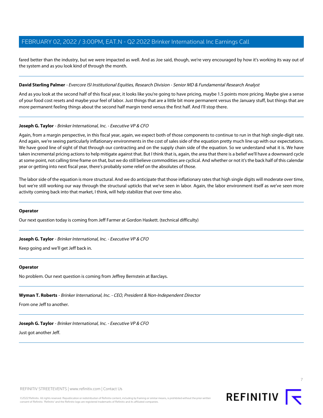fared better than the industry, but we were impacted as well. And as Joe said, though, we're very encouraged by how it's working its way out of the system and as you look kind of through the month.

#### **David Sterling Palmer** - Evercore ISI Institutional Equities, Research Division - Senior MD & Fundamental Research Analyst

And as you look at the second half of this fiscal year, it looks like you're going to have pricing, maybe 1.5 points more pricing. Maybe give a sense of your food cost resets and maybe your feel of labor. Just things that are a little bit more permanent versus the January stuff, but things that are more permanent feeling things about the second half margin trend versus the first half. And I'll stop there.

#### **Joseph G. Taylor** - Brinker International, Inc. - Executive VP & CFO

Again, from a margin perspective, in this fiscal year, again, we expect both of those components to continue to run in that high single-digit rate. And again, we're seeing particularly inflationary environments in the cost of sales side of the equation pretty much line up with our expectations. We have good line of sight of that through our contracting and on the supply chain side of the equation. So we understand what it is. We have taken incremental pricing actions to help mitigate against that. But I think that is, again, the area that there is a belief we'll have a downward cycle at some point, not calling time frame on that, but we do still believe commodities are cyclical. And whether or not it's the back half of this calendar year or getting into next fiscal year, there's probably some relief on the absolutes of those.

The labor side of the equation is more structural. And we do anticipate that those inflationary rates that high single digits will moderate over time, but we're still working our way through the structural upticks that we've seen in labor. Again, the labor environment itself as we've seen more activity coming back into that market, I think, will help stabilize that over time also.

#### **Operator**

Our next question today is coming from Jeff Farmer at Gordon Haskett. (technical difficulty)

#### **Joseph G. Taylor** - Brinker International, Inc. - Executive VP & CFO

Keep going and we'll get Jeff back in.

#### **Operator**

No problem. Our next question is coming from Jeffrey Bernstein at Barclays.

#### **Wyman T. Roberts** - Brinker International, Inc. - CEO, President & Non-Independent Director

From one Jeff to another.

#### **Joseph G. Taylor** - Brinker International, Inc. - Executive VP & CFO

Just got another Jeff.

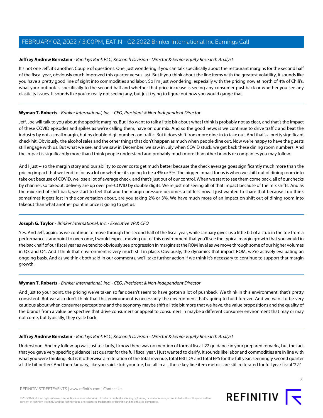# <span id="page-7-0"></span>**Jeffrey Andrew Bernstein** - Barclays Bank PLC, Research Division - Director & Senior Equity Research Analyst

It's not one Jeff, it's another. Couple of questions. One, just wondering if you can talk specifically about the restaurant margins for the second half of the fiscal year, obviously much improved this quarter versus last. But if you think about the line items with the greatest volatility, it sounds like you have a pretty good line of sight into commodities and labor. So I'm just wondering, especially with the pricing now at north of 4% of Chili's, what your outlook is specifically to the second half and whether that price increase is seeing any consumer pushback or whether you see any elasticity issues. It sounds like you're really not seeing any, but just trying to figure out how you would gauge that.

# **Wyman T. Roberts** - Brinker International, Inc. - CEO, President & Non-Independent Director

Jeff, Joe will talk to you about the specific margins. But I do want to talk a little bit about what I think is probably not as clear, and that's the impact of these COVID episodes and spikes as we're calling them, have on our mix. And so the good news is we continue to drive traffic and beat the industry by not a small margin, but by double-digit numbers on traffic. But it does shift from more dine-in to take out. And that's a pretty significant check hit. Obviously, the alcohol sales and the other things that don't happen as much when people dine out. Now we're happy to have the guests still engage with us. But what we see, and we saw in December, we saw in July when COVID stuck, we get back these dining room numbers. And the impact is significantly more than I think people understand and probably much more than other brands or companies you may follow.

And I just -- so the margin story and our ability to cover costs get much better because the check average goes significantly much more than the pricing impact that we tend to focus a lot on whether it's going to be a 4% or 5%. The bigger impact for us is when we shift out of dining room into take out because of COVID, we lose a lot of average check, and that's just out of our control. When we start to see them come back, all of our checks by channel, so takeout, delivery are up over pre-COVID by double digits. We're just not seeing all of that impact because of the mix shifts. And as the mix kind of shift back, we start to feel that and the margin pressure becomes a lot less now. I just wanted to share that because I do think sometimes it gets lost in the conversation about, are you taking 2% or 3%. We have much more of an impact on shift out of dining room into takeout than what another point in price is going to get us.

# **Joseph G. Taylor** - Brinker International, Inc. - Executive VP & CFO

Yes. And Jeff, again, as we continue to move through the second half of the fiscal year, while January gives us a little bit of a stub in the toe from a performance standpoint to overcome, I would expect moving out of this environment that you'll see the typical margin growth that you would in the back half of our fiscal year as we tend to obviously see progression in margins at the ROM level as we move through some of our higher volumes in Q3 and Q4. And I think that environment is very much still in place. Obviously, the dynamics that impact ROM, we're actively evaluating an ongoing basis. And as we think both said in our comments, we'll take further action if we think it's necessary to continue to support that margin growth.

# **Wyman T. Roberts** - Brinker International, Inc. - CEO, President & Non-Independent Director

And just to your point, the pricing we've taken so far doesn't seem to have gotten a lot of pushback. We think in this environment, that's pretty consistent. But we also don't think that this environment is necessarily the environment that's going to hold forever. And we want to be very cautious about when consumer perceptions and the economy maybe shift a little bit more that we have, the value propositions and the quality of the brands from a value perspective that drive consumers or appeal to consumers in maybe a different consumer environment that may or may not come, but typically, they cycle back.

# **Jeffrey Andrew Bernstein** - Barclays Bank PLC, Research Division - Director & Senior Equity Research Analyst

Understood. And my follow-up was just to clarify, I know there was no mention of formal fiscal '22 guidance in your prepared remarks, but the fact that you gave very specific guidance last quarter for the full fiscal year. I just wanted to clarify. It sounds like labor and commodities are in line with what you were thinking. But is it otherwise a reiteration of the total revenue, total EBITDA and total EPS for the full year, seemingly second quarter a little bit better? And then January, like you said, stub your toe, but all in all, those key line item metrics are still reiterated for full year fiscal '22?

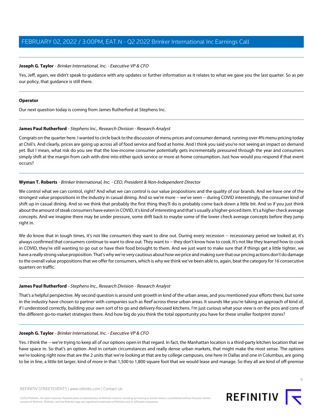# **Joseph G. Taylor** - Brinker International, Inc. - Executive VP & CFO

Yes, Jeff, again, we didn't speak to guidance with any updates or further information as it relates to what we gave you the last quarter. So as per our policy, that guidance is still there.

#### **Operator**

<span id="page-8-0"></span>Our next question today is coming from James Rutherford at Stephens Inc.

#### **James Paul Rutherford** - Stephens Inc., Research Division - Research Analyst

Congrats on the quarter here. I wanted to circle back to the discussion of menu prices and consumer demand, running over 4% menu pricing today at Chili's. And clearly, prices are going up across all of food service and food at home. And I think you said you're not seeing an impact on demand yet. But I mean, what risk do you see that the low-income consumer potentially gets incrementally pressured through the year and consumers simply shift at the margin from cash with dine into either quick service or more at-home consumption. Just how would you respond if that event occurs?

# **Wyman T. Roberts** - Brinker International, Inc. - CEO, President & Non-Independent Director

We control what we can control, right? And what we can control is our value propositions and the quality of our brands. And we have one of the strongest value propositions in the industry in casual dining. And so we're more -- we've seen -- during COVID interestingly, the consumer kind of shift up in casual dining. And so we think that probably the first thing they'll do is probably come back down a little bit. And so if you just think about the amount of steak consumers have eaten in COVID, it's kind of interesting and that's usually a higher-priced item. It's a higher check average concepts. And we imagine there may be under pressure, some drift back to maybe some of the lower check average concepts before they jump right in.

We do know that in tough times, it's not like consumers they want to dine out. During every recession -- recessionary period we looked at, it's always confirmed that consumers continue to want to dine out. They want to -- they don't know how to cook. It's not like they learned how to cook in COVID, they're still wanting to go out or have their food brought to them. And we just want to make sure that if things get a little tighter, we have a really strong value proposition. That's why we're very cautious about how we price and making sure that our pricing actions don't do damage to the overall value propositions that we offer for consumers, which is why we think we've been able to, again, beat the category for 16 consecutive quarters on traffic.

# **James Paul Rutherford** - Stephens Inc., Research Division - Research Analyst

That's a helpful perspective. My second question is around unit growth in kind of the urban areas, and you mentioned your efforts there, but some in the industry have chosen to partner with companies such as Reef across these urban areas. It sounds like you're taking an approach of kind of, if I understood correctly, building your own sort of to go and delivery-focused kitchens. I'm just curious what your view is on the pros and cons of the different go-to-market strategies there. And how big do you think the total opportunity you have for these smaller footprint stores?

# **Joseph G. Taylor** - Brinker International, Inc. - Executive VP & CFO

Yes. I think the -- we're trying to keep all of our options open in that regard. In fact, the Manhattan location is a third-party kitchen location that we have space in. So that's an option. And in certain circumstances and really dense urban markets, that might make the most sense. The options we're looking right now that are the 2 units that we're looking at that are by college campuses, one here in Dallas and one in Columbus, are going to be in line, a little bit larger, kind of more in that 1,500 to 1,800 square foot that we would lease and manage. So they all are kind of off-premise

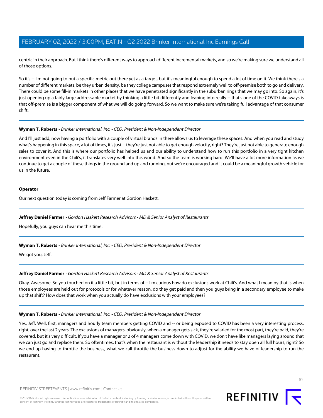centric in their approach. But I think there's different ways to approach different incremental markets, and so we're making sure we understand all of those options.

So it's -- I'm not going to put a specific metric out there yet as a target, but it's meaningful enough to spend a lot of time on it. We think there's a number of different markets, be they urban density, be they college campuses that respond extremely well to off-premise both to go and delivery. There could be some fill-in markets in other places that we have penetrated significantly in the suburban rings that we may go into. So again, it's just opening up a fairly large addressable market by thinking a little bit differently and leaning into really -- that's one of the COVID takeaways is that off-premise is a bigger component of what we will do going forward. So we want to make sure we're taking full advantage of that consumer shift.

# **Wyman T. Roberts** - Brinker International, Inc. - CEO, President & Non-Independent Director

And I'll just add, now having a portfolio with a couple of virtual brands in there allows us to leverage these spaces. And when you read and study what's happening in this space, a lot of times, it's just -- they're just not able to get enough velocity, right? They're just not able to generate enough sales to cover it. And this is where our portfolio has helped us and our ability to understand how to run this portfolio in a very tight kitchen environment even in the Chili's, it translates very well into this world. And so the team is working hard. We'll have a lot more information as we continue to get a couple of these things in the ground and up and running, but we're encouraged and it could be a meaningful growth vehicle for us in the future.

# **Operator**

<span id="page-9-0"></span>Our next question today is coming from Jeff Farmer at Gordon Haskett.

# **Jeffrey Daniel Farmer** - Gordon Haskett Research Advisors - MD & Senior Analyst of Restaurants

Hopefully, you guys can hear me this time.

# **Wyman T. Roberts** - Brinker International, Inc. - CEO, President & Non-Independent Director

We got you, Jeff.

# **Jeffrey Daniel Farmer** - Gordon Haskett Research Advisors - MD & Senior Analyst of Restaurants

Okay. Awesome. So you touched on it a little bit, but in terms of -- I'm curious how do exclusions work at Chili's. And what I mean by that is when those employees are held out for protocols or for whatever reason, do they get paid and then you guys bring in a secondary employee to make up that shift? How does that work when you actually do have exclusions with your employees?

# **Wyman T. Roberts** - Brinker International, Inc. - CEO, President & Non-Independent Director

©2022 Refinitiv. All rights reserved. Republication or redistribution of Refinitiv content, including by framing or similar means, is prohibited without the prior written

Yes, Jeff. Well, first, managers and hourly team members getting COVID and -- or being exposed to COVID has been a very interesting process, right, over the last 2 years. The exclusions of managers, obviously, when a manager gets sick, they're salaried for the most part, they're paid, they're covered, but it's very difficult. If you have a manager or 2 of 4 managers come down with COVID, we don't have like managers laying around that we can just go and replace them. So oftentimes, that's when the restaurant is without the leadership it needs to stay open all full hours, right? So we end up having to throttle the business, what we call throttle the business down to adjust for the ability we have of leadership to run the restaurant.

consent of Refinitiv. 'Refinitiv' and the Refinitiv logo are registered trademarks of Refinitiv and its affiliated companies.

 $1<sup>0</sup>$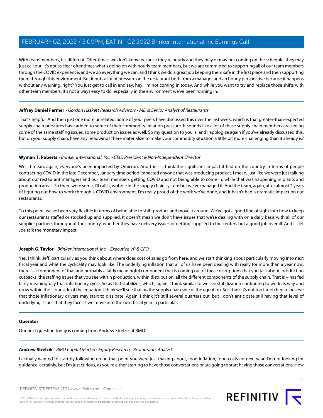With team members, it's different. Oftentimes, we don't know because they're hourly and they may or may not coming on the schedule, they may just call out. It's not as clear oftentimes what's going on with hourly team members, but we are committed to supporting all of our team members through the COVID experience, and we do everything we can, and I think we do a great job keeping them safe in the first place and then supporting them through this environment. But it puts a lot of pressure on the restaurant both from a manager and an hourly perspective because it happens without any warning, right? You just get to call in and say, hey, I'm not coming in today. And while you want to try and replace those shifts with other team members, it's not always easy to do, especially in the environment we've been running in.

# **Jeffrey Daniel Farmer** - Gordon Haskett Research Advisors - MD & Senior Analyst of Restaurants

That's helpful. And then just one more unrelated. Some of your peers have discussed this over the last week, which is that greater-than-expected supply chain pressures have added to some of their commodity inflation pressure. It sounds like a lot of these supply chain members are seeing some of the same staffing issues, some production issues as well. So my question to you is, and I apologize again if you've already discussed this, but on your supply chain, have any headwinds there materialize to make your commodity situation a little bit more challenging than it already is?

# **Wyman T. Roberts** - Brinker International, Inc. - CEO, President & Non-Independent Director

Well, I mean, again, everyone's been impacted by Omicron. And the -- I think the significant impact it had on the country in terms of people contracting COVID in the late December, January time period impacted anyone that was producing product. I mean, just like we were just talking about our restaurant managers and our team members getting COVID and not being able to come in, while that was happening in plants and production areas. So there were some, I'll call it, wobble in the supply chain system but we've managed it. And the team, again, after almost 2 years of figuring out how to work through a COVID environment, I'm really proud of the work we've done, and it hasn't had a dramatic impact on our restaurants.

To this point, we've been very flexible in terms of being able to shift product and move it around. We've got a good line of sight into how to keep our restaurants staffed or stocked up and supplied. It doesn't mean we don't have issues that we're dealing with on a daily basis with all of our supplier partners throughout the country, whether they have delivery issues or getting supplied to the centers but a good job overall. And I'll let Joe talk the monetary impact.

# **Joseph G. Taylor** - Brinker International, Inc. - Executive VP & CFO

Yes. I think, Jeff, particularly as you think about where does cost of sales go from here, and we start thinking about particularly moving into next fiscal year and what the cyclicality may look like. The underlying inflation that all of us have been dealing with really for more than a year now, there is a component of that and probably a fairly meaningful component that is coming out of those disruptions that you talk about, production cutbacks, the staffing issues that you see within production, within distribution, all the different components of the supply chain. That is -- has fed fairly meaningfully that inflationary cycle. So as that stabilizes, which, again, I think similar to we see stabilization continuing to work its way and grow within the -- our side of the equation. I think we'll see that on the supply chain side of the equation. So I think it's not too farfetched to believe that those inflationary drivers may start to dissipate. Again, I think it's still several quarters out, but I don't anticipate still having that level of underlying issues that they face as we move into the next fiscal year in particular.

# <span id="page-10-0"></span>**Operator**

Our next question today is coming from Andrew Strelzik at BMO.

# **Andrew Strelzik** - BMO Capital Markets Equity Research - Restaurants Analyst

I actually wanted to start by following up on that point you were just making about, food inflation, food costs for next year. I'm not looking for guidance, certainly, but I'm just curious, as you're either starting to have those conversations or are going to start having those conversations. How

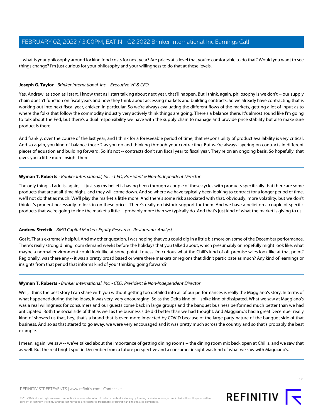-- what is your philosophy around locking food costs for next year? Are prices at a level that you're comfortable to do that? Would you want to see things change? I'm just curious for your philosophy and your willingness to do that at these levels.

# **Joseph G. Taylor** - Brinker International, Inc. - Executive VP & CFO

Yes. Andrew, as soon as I start, I know that as I start talking about next year, that'll happen. But I think, again, philosophy is we don't -- our supply chain doesn't function on fiscal years and how they think about accessing markets and building contracts. So we already have contracting that is working out into next fiscal year, chicken in particular. So we're always evaluating the different flows of the markets, getting a lot of input as to where the folks that follow the commodity industry very actively think things are going. There's a balance there. It's almost sound like I'm going to talk about the Fed, but there's a dual responsibility we have with the supply chain to manage and provide price stability but also make sure product is there.

And frankly, over the course of the last year, and I think for a foreseeable period of time, that responsibility of product availability is very critical. And so again, you kind of balance those 2 as you go and thinking through your contracting. But we're always layering on contracts in different pieces of equation and building forward. So it's not -- contracts don't run fiscal year to fiscal year. They're on an ongoing basis. So hopefully, that gives you a little more insight there.

# **Wyman T. Roberts** - Brinker International, Inc. - CEO, President & Non-Independent Director

The only thing I'd add is, again, I'll just say my belief is having been through a couple of these cycles with products specifically that there are some products that are at all-time highs, and they will come down. And so where we have typically been looking to contract for a longer period of time, we'll not do that as much. We'll play the market a little more. And there's some risk associated with that, obviously, more volatility, but we don't think it's prudent necessarily to lock in on these prices. There's really no historic support for them. And we have a belief on a couple of specific products that we're going to ride the market a little -- probably more than we typically do. And that's just kind of what the market is giving to us.

# **Andrew Strelzik** - BMO Capital Markets Equity Research - Restaurants Analyst

Got it. That's extremely helpful. And my other question, I was hoping that you could dig in a little bit more on some of the December performance. There's really strong dining room demand weeks before the holidays that you talked about, which presumably or hopefully might look like, what maybe a normal environment could look like at some point. I guess I'm curious what the Chili's kind of off-premise sales look like at that point? Regionally, was there any -- it was a pretty broad based or were there markets or regions that didn't participate as much? Any kind of learnings or insights from that period that informs kind of your thinking going forward?

# **Wyman T. Roberts** - Brinker International, Inc. - CEO, President & Non-Independent Director

©2022 Refinitiv. All rights reserved. Republication or redistribution of Refinitiv content, including by framing or similar means, is prohibited without the prior written

Well, I think the best story I can share with you without getting too detailed into all of our performances is really the Maggiano's story. In terms of what happened during the holidays, it was very, very encouraging. So as the Delta kind of -- spike kind of dissipated. What we saw at Maggiano's was a real willingness for consumers and our guests come back in large groups and the banquet business performed much better than we had anticipated. Both the social side of that as well as the business side did better than we had thought. And Maggiano's had a great December really kind of showed us that, hey, that's a brand that is even more impacted by COVID because of the large party nature of the banquet side of that business. And so as that started to go away, we were very encouraged and it was pretty much across the country and so that's probably the best example.

I mean, again, we saw -- we've talked about the importance of getting dining rooms -- the dining room mix back open at Chili's, and we saw that as well. But the real bright spot in December from a future perspective and a consumer insight was kind of what we saw with Maggiano's.

consent of Refinitiv. 'Refinitiv' and the Refinitiv logo are registered trademarks of Refinitiv and its affiliated companies.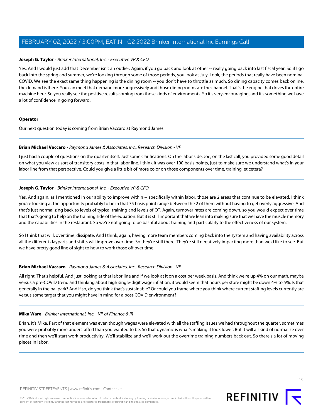# **Joseph G. Taylor** - Brinker International, Inc. - Executive VP & CFO

Yes. And I would just add that December isn't an outlier. Again, if you go back and look at other -- really going back into last fiscal year. So if I go back into the spring and summer, we're looking through some of those periods, you look at July. Look, the periods that really have been nominal COVID. We see the exact same thing happening is the dining room -- you don't have to throttle as much. So dining capacity comes back online, the demand is there. You can meet that demand more aggressively and those dining rooms are the channel. That's the engine that drives the entire machine here. So you really see the positive results coming from those kinds of environments. So it's very encouraging, and it's something we have a lot of confidence in going forward.

#### **Operator**

<span id="page-12-0"></span>Our next question today is coming from Brian Vaccaro at Raymond James.

#### **Brian Michael Vaccaro** - Raymond James & Associates, Inc., Research Division - VP

I just had a couple of questions on the quarter itself. Just some clarifications. On the labor side, Joe, on the last call, you provided some good detail on what you view as sort of transitory costs in that labor line. I think it was over 100 basis points, just to make sure we understand what's in your labor line from that perspective. Could you give a little bit of more color on those components over time, training, et cetera?

# **Joseph G. Taylor** - Brinker International, Inc. - Executive VP & CFO

Yes. And again, as I mentioned in our ability to improve within -- specifically within labor, those are 2 areas that continue to be elevated. I think you're looking at the opportunity probably to be in that 75 basis point range between the 2 of them without having to get overly aggressive. And that's just normalizing back to levels of typical training and levels of OT. Again, turnover rates are coming down, so you would expect over time that that's going to help on the training side of the equation. But it is still important that we lean into making sure that we have the muscle memory and the capabilities in the restaurant. So we're not going to be bashful about training and particularly to the effectiveness of our system.

So I think that will, over time, dissipate. And I think, again, having more team members coming back into the system and having availability across all the different dayparts and shifts will improve over time. So they're still there. They're still negatively impacting more than we'd like to see. But we have pretty good line of sight to how to work those off over time.

#### **Brian Michael Vaccaro** - Raymond James & Associates, Inc., Research Division - VP

All right. That's helpful. And just looking at that labor line and if we look at it on a cost per week basis. And think we're up 4% on our math, maybe versus a pre-COVID trend and thinking about high single-digit wage inflation, it would seem that hours per store might be down 4% to 5%. Is that generally in the ballpark? And if so, do you think that's sustainable? Or could you frame where you think where current staffing levels currently are versus some target that you might have in mind for a post-COVID environment?

#### **Mika Ware** - Brinker International, Inc. - VP of Finance & IR

Brian, it's Mika. Part of that element was even though wages were elevated with all the staffing issues we had throughout the quarter, sometimes you were probably more understaffed than you wanted to be. So that dynamic is what's making it look lower. But it will all kind of normalize over time and then we'll start work productivity. We'll stabilize and we'll work out the overtime training numbers back out. So there's a lot of moving pieces in labor.

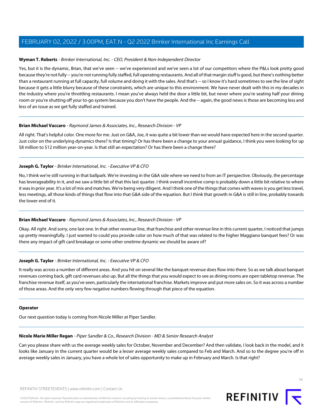## **Wyman T. Roberts** - Brinker International, Inc. - CEO, President & Non-Independent Director

Yes, but it is the dynamic, Brian, that we've seen -- we've experienced and we've seen a lot of our competitors where the P&Ls look pretty good because they're not fully -- you're not running fully staffed, full operating restaurants. And all of that margin stuff is good, but there's nothing better than a restaurant running at full capacity, full volume and doing it with the sales. And that's -- so I know it's hard sometimes to see the line of sight because it gets a little blurry because of these constraints, which are unique to this environment. We have never dealt with this in my decades in the industry where you're throttling restaurants. I mean you've always held the door a little bit, but never where you're seating half your dining room or you're shutting off your to-go system because you don't have the people. And the -- again, the good news is those are becoming less and less of an issue as we get fully staffed and trained.

#### **Brian Michael Vaccaro** - Raymond James & Associates, Inc., Research Division - VP

All right. That's helpful color. One more for me. Just on G&A, Joe, it was quite a bit lower than we would have expected here in the second quarter. Just color on the underlying dynamics there? Is that timing? Or has there been a change to your annual guidance, I think you were looking for up \$8 million to \$12 million year-on-year. Is that still an expectation? Or has there been a change there?

#### **Joseph G. Taylor** - Brinker International, Inc. - Executive VP & CFO

No, I think we're still running in that ballpark. We're investing in the G&A side where we need to from an IT perspective. Obviously, the percentage has leverageability in it, and we saw a little bit of that this last quarter. I think overall incentive comp is probably down a little bit relative to where it was in prior year. It's a lot of mix and matches. We're being very diligent. And I think one of the things that comes with waves is you get less travel, less meetings, all those kinds of things that flow into that G&A side of the equation. But I think that growth in G&A is still in line, probably towards the lower end of it.

# **Brian Michael Vaccaro** - Raymond James & Associates, Inc., Research Division - VP

Okay. All right. And sorry, one last one. In that other revenue line, that franchise and other revenue line in this current quarter, I noticed that jumps up pretty meaningfully. I just wanted to could you provide color on how much of that was related to the higher Maggiano banquet fees? Or was there any impact of gift card breakage or some other onetime dynamic we should be aware of?

# **Joseph G. Taylor** - Brinker International, Inc. - Executive VP & CFO

It really was across a number of different areas. And you hit on several like the banquet revenue does flow into there. So as we talk about banquet revenues coming back, gift card revenues also up. But all the things that you would expect to see as dining rooms are open tabletop revenue. The franchise revenue itself, as you've seen, particularly the international franchise. Markets improve and put more sales on. So it was across a number of those areas. And the only very few negative numbers flowing through that piece of the equation.

#### <span id="page-13-0"></span>**Operator**

Our next question today is coming from Nicole Miller at Piper Sandler.

#### **Nicole Marie Miller Regan** - Piper Sandler & Co., Research Division - MD & Senior Research Analyst

Can you please share with us the average weekly sales for October, November and December? And then validate, I look back in the model, and it looks like January in the current quarter would be a lesser average weekly sales compared to Feb and March. And so to the degree you're off in average weekly sales in January, you have a whole lot of sales opportunity to make up in February and March. Is that right?

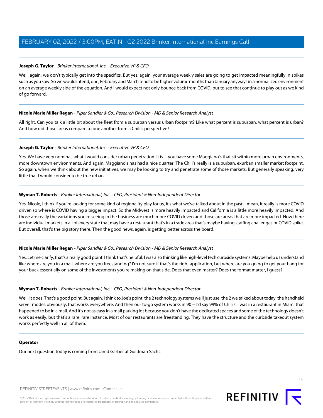# **Joseph G. Taylor** - Brinker International, Inc. - Executive VP & CFO

Well, again, we don't typically get into the specifics. But yes, again, your average weekly sales are going to get impacted meaningfully in spikes such as you saw. So we would intend, one, February and March tend to be higher volume months than January anyways in a normalized environment on an average weekly side of the equation. And I would expect not only bounce back from COVID, but to see that continue to play out as we kind of go forward.

#### **Nicole Marie Miller Regan** - Piper Sandler & Co., Research Division - MD & Senior Research Analyst

All right. Can you talk a little bit about the fleet from a suburban versus urban footprint? Like what percent is suburban, what percent is urban? And how did those areas compare to one another from a Chili's perspective?

#### **Joseph G. Taylor** - Brinker International, Inc. - Executive VP & CFO

Yes. We have very nominal, what I would consider urban penetration. It is -- you have some Maggiano's that sit within more urban environments, more downtown environments. And again, Maggiano's has had a nice quarter. The Chili's really is a suburban, exurban smaller market footprint. So again, when we think about the new initiatives, we may be looking to try and penetrate some of those markets. But generally speaking, very little that I would consider to be true urban.

#### **Wyman T. Roberts** - Brinker International, Inc. - CEO, President & Non-Independent Director

Yes. Nicole, I think if you're looking for some kind of regionality play for us, it's what we've talked about in the past. I mean, it really is more COVID driven so where is COVID having a bigger impact. So the Midwest is more heavily impacted and California is a little more heavily impacted. And those are really the variations you're seeing in the business are much more COVID driven and those are areas that are more impacted. Now there are individual markets in all of every state that may have a restaurant that's in a trade area that's maybe having staffing challenges or COVID spike. But overall, that's the big story there. Then the good news, again, is getting better across the board.

# **Nicole Marie Miller Regan** - Piper Sandler & Co., Research Division - MD & Senior Research Analyst

Yes. Let me clarify, that's a really good point. I think that's helpful. I was also thinking like high-level tech curbside systems. Maybe help us understand like where are you in a mall, where are you freestanding? I'm not sure if that's the right application, but where are you going to get your bang for your buck essentially on some of the investments you're making on that side. Does that even matter? Does the format matter, I guess?

#### **Wyman T. Roberts** - Brinker International, Inc. - CEO, President & Non-Independent Director

Well, it does. That's a good point. But again, I think to Joe's point, the 2 technology systems we'll just use, the 2 we talked about today, the handheld server model, obviously, that works everywhere. And then our to-go system works in 90 -- I'd say 99% of Chili's. I was in a restaurant in Miami that happened to be in a mall. And it's not as easy in a mall parking lot because you don't have the dedicated spaces and some of the technology doesn't work as easily, but that's a rare, rare instance. Most of our restaurants are freestanding. They have the structure and the curbside takeout system works perfectly well in all of them.

#### **Operator**

Our next question today is coming from Jared Garber at Goldman Sachs.

REFINITIV STREETEVENTS | [www.refinitiv.com](https://www.refinitiv.com/) | [Contact Us](https://www.refinitiv.com/en/contact-us)

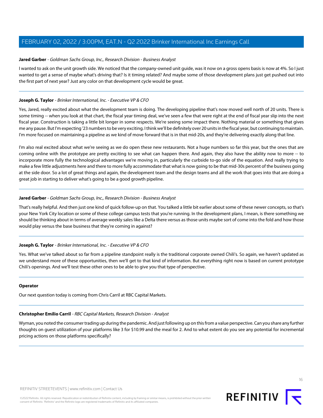## <span id="page-15-1"></span>**Jared Garber** - Goldman Sachs Group, Inc., Research Division - Business Analyst

I wanted to ask on the unit growth side. We noticed that the company-owned unit guide, was it now on a gross opens basis is now at 4%. So I just wanted to get a sense of maybe what's driving that? Is it timing related? And maybe some of those development plans just get pushed out into the first part of next year? Just any color on that development cycle would be great.

#### **Joseph G. Taylor** - Brinker International, Inc. - Executive VP & CFO

Yes, Jared, really excited about what the development team is doing. The developing pipeline that's now moved well north of 20 units. There is some timing -- when you look at that chart, the fiscal year timing deal, we've seen a few that were right at the end of fiscal year slip into the next fiscal year. Construction is taking a little bit longer in some respects. We're seeing some impact there. Nothing material or something that gives me any pause. But I'm expecting '23 numbers to be very exciting. I think we'll be definitely over 20 units in the fiscal year, but continuing to maintain. I'm more focused on maintaining a pipeline as we kind of move forward that is in that mid-20s, and they're delivering exactly along that line.

I'm also real excited about what we're seeing as we do open these new restaurants. Not a huge numbers so far this year, but the ones that are coming online with the prototype are pretty exciting to see what can happen there. And again, they also have the ability now to more -- to incorporate more fully the technological advantages we're moving in, particularly the curbside to-go side of the equation. And really trying to make a few little adjustments here and there to more fully accommodate that what is now going to be that mid-30s percent of the business going at the side door. So a lot of great things and again, the development team and the design teams and all the work that goes into that are doing a great job in starting to deliver what's going to be a good growth pipeline.

#### **Jared Garber** - Goldman Sachs Group, Inc., Research Division - Business Analyst

That's really helpful. And then just one kind of quick follow-up on that. You talked a little bit earlier about some of these newer concepts, so that's your New York City location or some of these college campus tests that you're running. In the development plans, I mean, is there something we should be thinking about in terms of average weekly sales like a Delta there versus as those units maybe sort of come into the fold and how those would play versus the base business that they're coming in against?

#### **Joseph G. Taylor** - Brinker International, Inc. - Executive VP & CFO

Yes. What we've talked about so far from a pipeline standpoint really is the traditional corporate owned Chili's. So again, we haven't updated as we understand more of these opportunities, then we'll get to that kind of information. But everything right now is based on current prototype Chili's openings. And we'll test these other ones to be able to give you that type of perspective.

#### <span id="page-15-0"></span>**Operator**

Our next question today is coming from Chris Carril at RBC Capital Markets.

#### **Christopher Emilio Carril** - RBC Capital Markets, Research Division - Analyst

Wyman, you noted the consumer trading up during the pandemic. And just following up on this from a value perspective. Can you share any further thoughts on guest utilization of your platforms like 3 for \$10.99 and the meal for 2. And to what extent do you see any potential for incremental pricing actions on those platforms specifically?

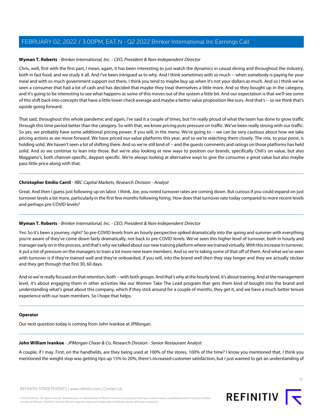# **Wyman T. Roberts** - Brinker International, Inc. - CEO, President & Non-Independent Director

Chris, well, first with the first part, I mean, again, it has been interesting to just watch the dynamics in casual dining and throughout the industry, both in fast food, and we study it all. And I've been intriqued as to why. And I think sometimes with so much -- when somebody is paying for your meal and with so much government support out there, I think you tend to maybe buy up when it's not your dollars as much. And so I think we've seen a consumer that had a lot of cash and has decided that maybe they treat themselves a little more. And so they bought up in the category, and it's going to be interesting to see what happens as some of this moves out of the system a little bit. And our expectation is that we'll see some of this shift back into concepts that have a little lower check average and maybe a better value proposition like ours. And that's -- so we think that's upside going forward.

That said, throughout this whole pandemic and again, I've said it a couple of times, but I'm really proud of what the team has done to grow traffic through this time period better than the category. So with that, we know pricing puts pressure on traffic. We've been really strong with our traffic. So yes, we probably have some additional pricing power, if you will, in the menu. We're going to -- we can be very cautious about how we take pricing actions as we move forward. We have priced our value platforms this year, and so we're watching them closely. The mix, to your point, is holding solid. We haven't seen a lot of shifting there. And so we're still kind of -- and the quests comments and ratings on those platforms has held solid. And so we continue to lean into those. But we're also looking at new ways to position our brands, specifically Chili's on value, but also Maggiano's, both channel-specific, daypart specific. We're always looking at alternative ways to give the consumer a great value but also maybe pass little price along with that.

#### **Christopher Emilio Carril** - RBC Capital Markets, Research Division - Analyst

Great. And then I guess just following up on labor. I think, Joe, you noted turnover rates are coming down. But curious if you could expand on just turnover levels a bit more, particularly in the first few months following hiring. How does that turnover rate today compared to more recent levels and perhaps pre-COVID levels?

# **Wyman T. Roberts** - Brinker International, Inc. - CEO, President & Non-Independent Director

Yes. So it's been a journey, right? So pre-COVID levels from an hourly perspective spiked dramatically into the spring and summer with everything you're aware of they've come down fairly dramatically, not back to pre-COVID levels. We've seen this higher level of turnover, both in hourly and manager early on in the process, and that's why we talked about our new training platform where we trained virtually. With this increase in turnover, it put a lot of pressure on the managers to train a lot more new team members. And so we're taking some of that off of them. And what we've seen with turnover is if they're trained well and they're onboarded, if you will, into the brand well then they stay longer and they are actually stickier and they get through that first 30, 60 days.

And so we're really focused on that retention, both -- with both groups. And that's why at the hourly level, it's about training. And at the management level, it's about engaging them in other activities like our Women Take The Lead program that gets them kind of bought into the brand and understanding what's great about this company, which if they stick around for a couple of months, they get it, and we have a much better tenure experience with our team members. So I hope that helps.

#### <span id="page-16-0"></span>**Operator**

Our next question today is coming from John Ivankoe at JPMorgan.

#### **John William Ivankoe** - JPMorgan Chase & Co, Research Division - Senior Restaurant Analyst

A couple, if I may. First, on the handhelds, are they being used at 100% of the stores, 100% of the time? I know you mentioned that, I think you mentioned the weight stop was getting tips up 15% to 20%, there's increased customer satisfaction, but I just wanted to get an understanding of

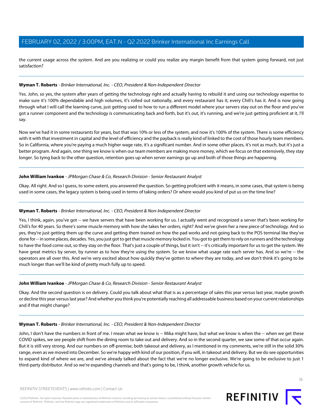the current usage across the system. And are you realizing or could you realize any margin benefit from that system going forward, not just satisfaction?

# **Wyman T. Roberts** - Brinker International, Inc. - CEO, President & Non-Independent Director

Yes. John, so yes, the system after years of getting the technology right and actually having to rebuild it and using our technology expertise to make sure it's 100% dependable and high volumes, it's rolled out nationally, and every restaurant has it, every Chili's has it. And is now going through what I will call the learning curve, just getting used to how to run a different model where your servers stay out on the floor and you've got a runner component and the technology is communicating back and forth, but it's out, it's running, and we're just getting proficient at it, I'll say.

Now we've had it in some restaurants for years, but that was 10% or less of the system, and now it's 100% of the system. There is some efficiency with it with that investment in capital and the level of efficiency and the payback is really kind of linked to the cost of those hourly team members. So in California, where you're paying a much higher wage rate, it's a significant number. And in some other places, it's not as much, but it's just a better program. And again, one thing we know is when our team members are making more money, which we focus on that extensively, they stay longer. So tying back to the other question, retention goes up when server earnings go up and both of those things are happening.

#### **John William Ivankoe** - JPMorgan Chase & Co, Research Division - Senior Restaurant Analyst

Okay. All right. And so I guess, to some extent, you answered the question. So getting proficient with it means, in some cases, that system is being used in some cases, the legacy system is being used in terms of taking orders? Or where would you kind of put us on the time line?

#### **Wyman T. Roberts** - Brinker International, Inc. - CEO, President & Non-Independent Director

Yes, I think, again, you've got -- we have servers that have been working for us. I actually went and recognized a server that's been working for Chili's for 40 years. So there's some muscle memory with how she takes her orders, right? And we've given her a new piece of technology. And so yes, they're just getting them up the curve and getting them trained on how the pad works and not going back to the POS terminal like they've done for -- in some places, decades. Yes, you just got to get that muscle memory locked in. You got to get them to rely on runners and the technology to have the food come out, so they stay on the floor. That's just a couple of things, but it isn't -- it's critically important for us to get the system. We have great metrics by server, by runner as to how they're using the system. So we know what usage rate each server has. And so we're -- the operators are all over this. And we're very excited about how quickly they've gotten to where they are today, and we don't think it's going to be much longer than we'll be kind of pretty much fully up to speed.

#### **John William Ivankoe** - JPMorgan Chase & Co, Research Division - Senior Restaurant Analyst

Okay. And the second question is on delivery. Could you talk about what that is as a percentage of sales this year versus last year, maybe growth or decline this year versus last year? And whether you think you're potentially reaching all addressable business based on your current relationships and if that might change?

#### **Wyman T. Roberts** - Brinker International, Inc. - CEO, President & Non-Independent Director

John, I don't have the numbers in front of me. I mean what we know is -- Mika might have, but what we know is when the -- when we get these COVID spikes, we see people shift from the dining room to take out and delivery. And so in the second quarter, we saw some of that occur again. But it is still very strong. And our numbers on off-premise, both takeout and delivery, as I mentioned in my comments, we're still in the solid 30% range, even as we moved into December. So we're happy with kind of our position, if you will, in takeout and delivery. But we do see opportunities to expand kind of where we are, and we've already talked about the fact that we're no longer exclusive. We're going to be exclusive to just 1 third-party distributor. And so we're expanding channels and that's going to be, I think, another growth vehicle for us.

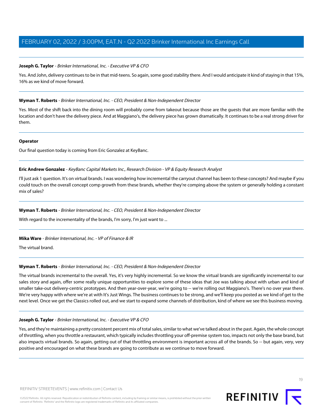# **Joseph G. Taylor** - Brinker International, Inc. - Executive VP & CFO

Yes. And John, delivery continues to be in that mid-teens. So again, some good stability there. And I would anticipate it kind of staying in that 15%, 16% as we kind of move forward.

# **Wyman T. Roberts** - Brinker International, Inc. - CEO, President & Non-Independent Director

Yes. Most of the shift back into the dining room will probably come from takeout because those are the guests that are more familiar with the location and don't have the delivery piece. And at Maggiano's, the delivery piece has grown dramatically. It continues to be a real strong driver for them.

# **Operator**

<span id="page-18-0"></span>Our final question today is coming from Eric Gonzalez at KeyBanc.

# **Eric Andrew Gonzalez** - KeyBanc Capital Markets Inc., Research Division - VP & Equity Research Analyst

I'll just ask 1 question. It's on virtual brands. I was wondering how incremental the carryout channel has been to these concepts? And maybe if you could touch on the overall concept comp growth from these brands, whether they're comping above the system or generally holding a constant mix of sales?

# **Wyman T. Roberts** - Brinker International, Inc. - CEO, President & Non-Independent Director

With regard to the incrementality of the brands, I'm sorry, I'm just want to ...

# **Mika Ware** - Brinker International, Inc. - VP of Finance & IR

The virtual brand.

# **Wyman T. Roberts** - Brinker International, Inc. - CEO, President & Non-Independent Director

The virtual brands incremental to the overall. Yes, it's very highly incremental. So we know the virtual brands are significantly incremental to our sales story and again, offer some really unique opportunities to explore some of these ideas that Joe was talking about with urban and kind of smaller take-out delivery-centric prototypes. And then year-over-year, we're going to -- we're rolling out Maggiano's. There's no over year there. We're very happy with where we're at with It's Just Wings. The business continues to be strong, and we'll keep you posted as we kind of get to the next level. Once we get the Classics rolled out, and we start to expand some channels of distribution, kind of where we see this business moving.

# **Joseph G. Taylor** - Brinker International, Inc. - Executive VP & CFO

Yes, and they're maintaining a pretty consistent percent mix of total sales, similar to what we've talked about in the past. Again, the whole concept of throttling, when you throttle a restaurant, which typically includes throttling your off-premise system too, impacts not only the base brand, but also impacts virtual brands. So again, getting out of that throttling environment is important across all of the brands. So -- but again, very, very positive and encouraged on what these brands are going to contribute as we continue to move forward.